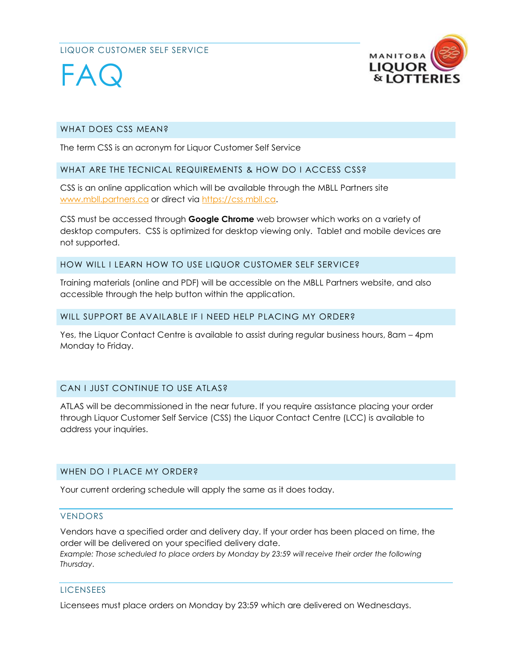#### LIQUOR CUSTOMER SELF SERVICE



# FAG

#### WHAT DOES CSS MEAN?

The term CSS is an acronym for Liquor Customer Self Service

#### WHAT ARE THE TECNICAL REQUIREMENTS & HOW DO I ACCESS CSS?

CSS is an online application which will be available through the MBLL Partners site [www.mbll.partners.ca](http://www.mbll.partners.ca/) or direct via [https://css.mbll.ca.](https://css.mbll.ca/)

CSS must be accessed through **Google Chrome** web browser which works on a variety of desktop computers. CSS is optimized for desktop viewing only. Tablet and mobile devices are not supported.

#### HOW WILL I LEARN HOW TO USE LIQUOR CUSTOMER SELF SERVICE?

Training materials (online and PDF) will be accessible on the MBLL Partners website, and also accessible through the help button within the application.

#### WILL SUPPORT BE AVAILABLE IF I NEED HELP PLACING MY ORDER?

Yes, the Liquor Contact Centre is available to assist during regular business hours, 8am – 4pm Monday to Friday.

#### CAN I JUST CONTINUE TO USE ATLAS?

ATLAS will be decommissioned in the near future. If you require assistance placing your order through Liquor Customer Self Service (CSS) the Liquor Contact Centre (LCC) is available to address your inquiries.

#### WHEN DO I PLACE MY ORDER?

Your current ordering schedule will apply the same as it does today.

#### VENDORS

Vendors have a specified order and delivery day. If your order has been placed on time, the order will be delivered on your specified delivery date. *Example: Those scheduled to place orders by Monday by 23:59 will receive their order the following*

*Thursday*.

#### **LICENSEES**

Licensees must place orders on Monday by 23:59 which are delivered on Wednesdays.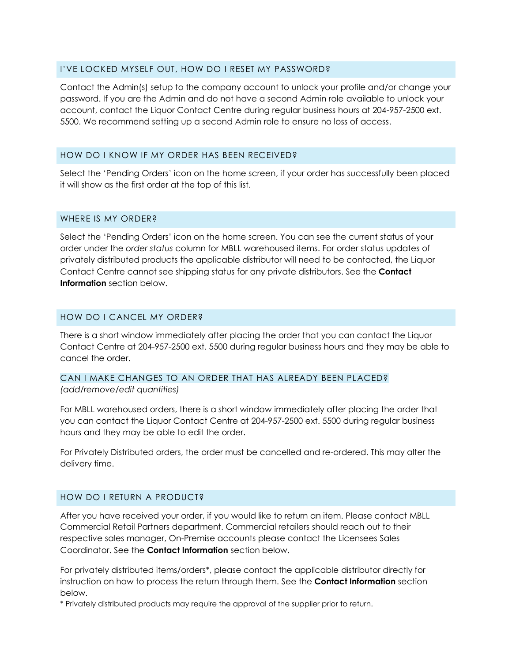#### I'VE LOCKED MYSELF OUT, HOW DO I RESET MY PASSWORD?

Contact the Admin(s) setup to the company account to unlock your profile and/or change your password. If you are the Admin and do not have a second Admin role available to unlock your account, contact the Liquor Contact Centre during regular business hours at 204-957-2500 ext. 5500. We recommend setting up a second Admin role to ensure no loss of access.

#### HOW DO I KNOW IF MY ORDER HAS BEEN RECEIVED?

Select the 'Pending Orders' icon on the home screen, if your order has successfully been placed it will show as the first order at the top of this list.

#### WHERE IS MY ORDER?

Select the 'Pending Orders' icon on the home screen. You can see the current status of your order under the *order status* column for MBLL warehoused items. For order status updates of privately distributed products the applicable distributor will need to be contacted, the Liquor Contact Centre cannot see shipping status for any private distributors. See the **Contact Information** section below.

#### HOW DO I CANCEL MY ORDER?

There is a short window immediately after placing the order that you can contact the Liquor Contact Centre at 204-957-2500 ext. 5500 during regular business hours and they may be able to cancel the order.

### CAN I MAKE CHANGES TO AN ORDER THAT HAS ALREADY BEEN PLACED?

*(add/remove/edit quantities)*

For MBLL warehoused orders, there is a short window immediately after placing the order that you can contact the Liquor Contact Centre at 204-957-2500 ext. 5500 during regular business hours and they may be able to edit the order.

For Privately Distributed orders, the order must be cancelled and re-ordered. This may alter the delivery time.

#### HOW DO I RETURN A PRODUCT?

After you have received your order, if you would like to return an item. Please contact MBLL Commercial Retail Partners department. Commercial retailers should reach out to their respective sales manager, On-Premise accounts please contact the Licensees Sales Coordinator. See the **Contact Information** section below.

For privately distributed items/orders\*, please contact the applicable distributor directly for instruction on how to process the return through them. See the **Contact Information** section below.

\* Privately distributed products may require the approval of the supplier prior to return.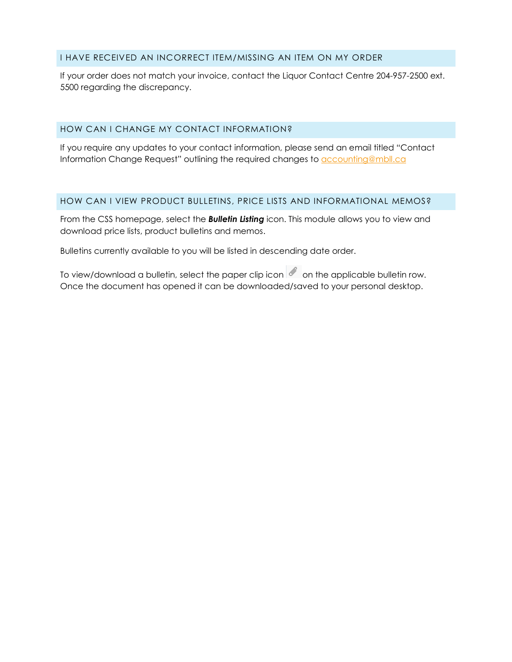#### I HAVE RECEIVED AN INCORRECT ITEM/MISSING AN ITEM ON MY ORDER

If your order does not match your invoice, contact the Liquor Contact Centre 204-957-2500 ext. 5500 regarding the discrepancy.

#### HOW CAN I CHANGE MY CONTACT INFORMATION?

If you require any updates to your contact information, please send an email titled "Contact Information Change Request" outlining the required changes to [accounting@mbll.ca](mailto:accounting@mbll.ca?subject=Contact%20Information%20Change%20Request)

#### HOW CAN I VIEW PRODUCT BULLETINS, PRICE LISTS AND INFORMATIONAL MEMOS?

From the CSS homepage, select the *Bulletin Listing* icon. This module allows you to view and download price lists, product bulletins and memos.

Bulletins currently available to you will be listed in descending date order.

To view/download a bulletin, select the paper clip icon  $\ll$  on the applicable bulletin row. Once the document has opened it can be downloaded/saved to your personal desktop.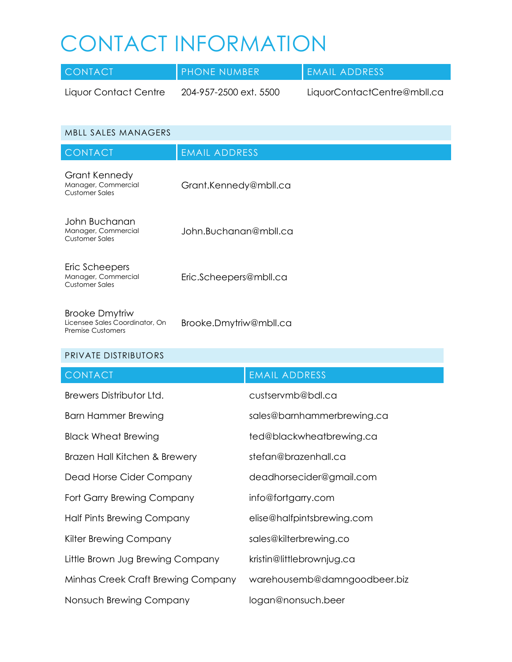## CONTACT INFORMATION

| <b>CONTACT</b>        | PHONE NUMBER           | EMAIL ADDRESS               |
|-----------------------|------------------------|-----------------------------|
| Liquor Contact Centre | 204-957-2500 ext. 5500 | LiquorContactCentre@mbll.ca |

| <b>MBLL SALES MANAGERS</b>                                     |                        |
|----------------------------------------------------------------|------------------------|
| <b>CONTACT</b>                                                 | <b>EMAIL ADDRESS</b>   |
| Grant Kennedy<br>Manager, Commercial<br><b>Customer Sales</b>  | Grant.Kennedy@mbll.ca  |
| John Buchanan<br>Manager, Commercial<br><b>Customer Sales</b>  | John.Buchanan@mbll.ca  |
| Eric Scheepers<br>Manager, Commercial<br><b>Customer Sales</b> | Eric.Scheepers@mbll.ca |
| <b>Brooke Dmytriw</b><br>Licensee Sales Coordinator, On        | Brooke.Dmytriw@mbll.ca |

#### PRIVATE DISTRIBUTORS

Premise Customers

| <b>CONTACT</b>                     | <b>EMAIL ADDRESS</b>         |
|------------------------------------|------------------------------|
| Brewers Distributor Ltd.           | custservmb@bdl.ca            |
| Barn Hammer Brewing                | sales@barnhammerbrewing.ca   |
| <b>Black Wheat Brewing</b>         | ted@blackwheatbrewing.ca     |
| Brazen Hall Kitchen & Brewery      | stefan@brazenhall.ca         |
| Dead Horse Cider Company           | deadhorsecider@gmail.com     |
| Fort Garry Brewing Company         | info@fortgarry.com           |
| Half Pints Brewing Company         | elise@halfpintsbrewing.com   |
| Kilter Brewing Company             | sales@kilterbrewing.co       |
| Little Brown Jug Brewing Company   | kristin@littlebrownjug.ca    |
| Minhas Creek Craft Brewing Company | warehousemb@damngoodbeer.biz |
| Nonsuch Brewing Company            | logan@nonsuch.beer           |